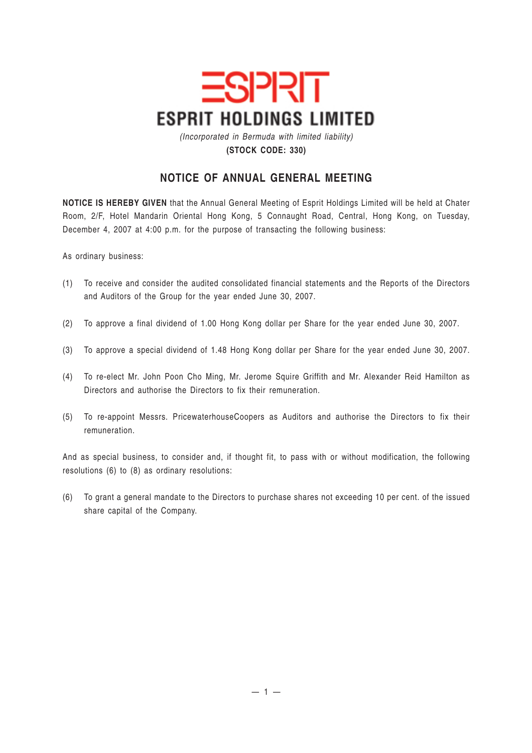

*(Incorporated in Bermuda with limited liability)* **(STOCK CODE: 330)**

## **NOTICE OF ANNUAL GENERAL MEETING**

**NOTICE IS HEREBY GIVEN** that the Annual General Meeting of Esprit Holdings Limited will be held at Chater Room, 2/F, Hotel Mandarin Oriental Hong Kong, 5 Connaught Road, Central, Hong Kong, on Tuesday, December 4, 2007 at 4:00 p.m. for the purpose of transacting the following business:

As ordinary business:

- (1) To receive and consider the audited consolidated financial statements and the Reports of the Directors and Auditors of the Group for the year ended June 30, 2007.
- (2) To approve a final dividend of 1.00 Hong Kong dollar per Share for the year ended June 30, 2007.
- (3) To approve a special dividend of 1.48 Hong Kong dollar per Share for the year ended June 30, 2007.
- (4) To re-elect Mr. John Poon Cho Ming, Mr. Jerome Squire Griffith and Mr. Alexander Reid Hamilton as Directors and authorise the Directors to fix their remuneration.
- (5) To re-appoint Messrs. PricewaterhouseCoopers as Auditors and authorise the Directors to fix their remuneration.

And as special business, to consider and, if thought fit, to pass with or without modification, the following resolutions (6) to (8) as ordinary resolutions:

(6) To grant a general mandate to the Directors to purchase shares not exceeding 10 per cent. of the issued share capital of the Company.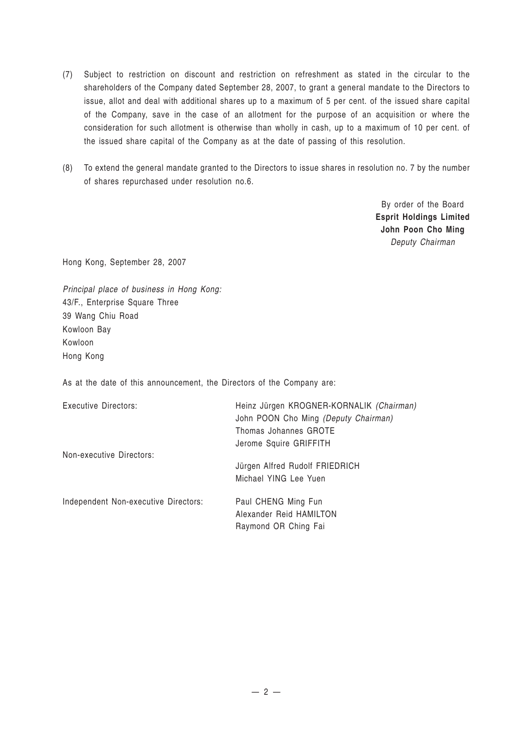- (7) Subject to restriction on discount and restriction on refreshment as stated in the circular to the shareholders of the Company dated September 28, 2007, to grant a general mandate to the Directors to issue, allot and deal with additional shares up to a maximum of 5 per cent. of the issued share capital of the Company, save in the case of an allotment for the purpose of an acquisition or where the consideration for such allotment is otherwise than wholly in cash, up to a maximum of 10 per cent. of the issued share capital of the Company as at the date of passing of this resolution.
- (8) To extend the general mandate granted to the Directors to issue shares in resolution no. 7 by the number of shares repurchased under resolution no.6.

By order of the Board **Esprit Holdings Limited John Poon Cho Ming** *Deputy Chairman*

Hong Kong, September 28, 2007

*Principal place of business in Hong Kong:* 43/F., Enterprise Square Three 39 Wang Chiu Road Kowloon Bay Kowloon Hong Kong

As at the date of this announcement, the Directors of the Company are:

| Executive Directors:                 | Heinz Jürgen KROGNER-KORNALIK (Chairman)<br>John POON Cho Ming (Deputy Chairman)<br>Thomas Johannes GROTE<br>Jerome Squire GRIFFITH |
|--------------------------------------|-------------------------------------------------------------------------------------------------------------------------------------|
| Non-executive Directors:             | Jürgen Alfred Rudolf FRIEDRICH<br>Michael YING Lee Yuen                                                                             |
| Independent Non-executive Directors: | Paul CHENG Ming Fun<br>Alexander Reid HAMILTON<br>Raymond OR Ching Fai                                                              |